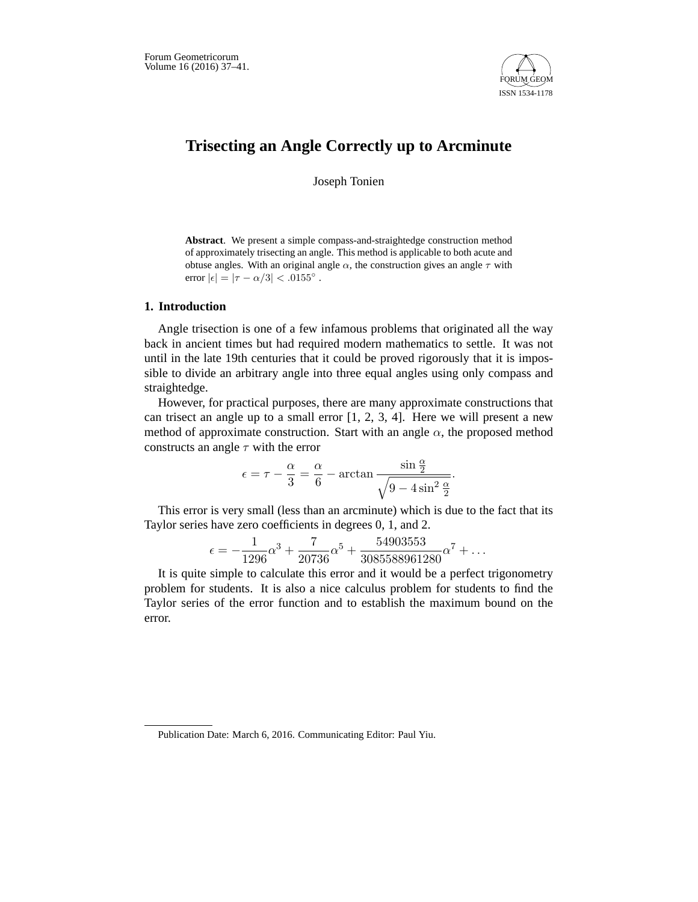

# **Trisecting an Angle Correctly up to Arcminute**

Joseph Tonien

**Abstract**. We present a simple compass-and-straightedge construction method of approximately trisecting an angle. This method is applicable to both acute and obtuse angles. With an original angle  $\alpha$ , the construction gives an angle  $\tau$  with error  $|\epsilon| = |\tau - \alpha/3| < .0155^{\circ}$ .

## **1. Introduction**

Angle trisection is one of a few infamous problems that originated all the way back in ancient times but had required modern mathematics to settle. It was not until in the late 19th centuries that it could be proved rigorously that it is impossible to divide an arbitrary angle into three equal angles using only compass and straightedge.

However, for practical purposes, there are many approximate constructions that can trisect an angle up to a small error  $[1, 2, 3, 4]$ . Here we will present a new method of approximate construction. Start with an angle  $\alpha$ , the proposed method constructs an angle  $\tau$  with the error

$$
\epsilon = \tau - \frac{\alpha}{3} = \frac{\alpha}{6} - \arctan \frac{\sin \frac{\alpha}{2}}{\sqrt{9 - 4\sin^2 \frac{\alpha}{2}}}.
$$

This error is very small (less than an arcminute) which is due to the fact that its Taylor series have zero coefficients in degrees 0, 1, and 2.

$$
\epsilon = -\frac{1}{1296}\alpha^3 + \frac{7}{20736}\alpha^5 + \frac{54903553}{3085588961280}\alpha^7 + \dots
$$

It is quite simple to calculate this error and it would be a perfect trigonometry problem for students. It is also a nice calculus problem for students to find the Taylor series of the error function and to establish the maximum bound on the error.

Publication Date: March 6, 2016. Communicating Editor: Paul Yiu.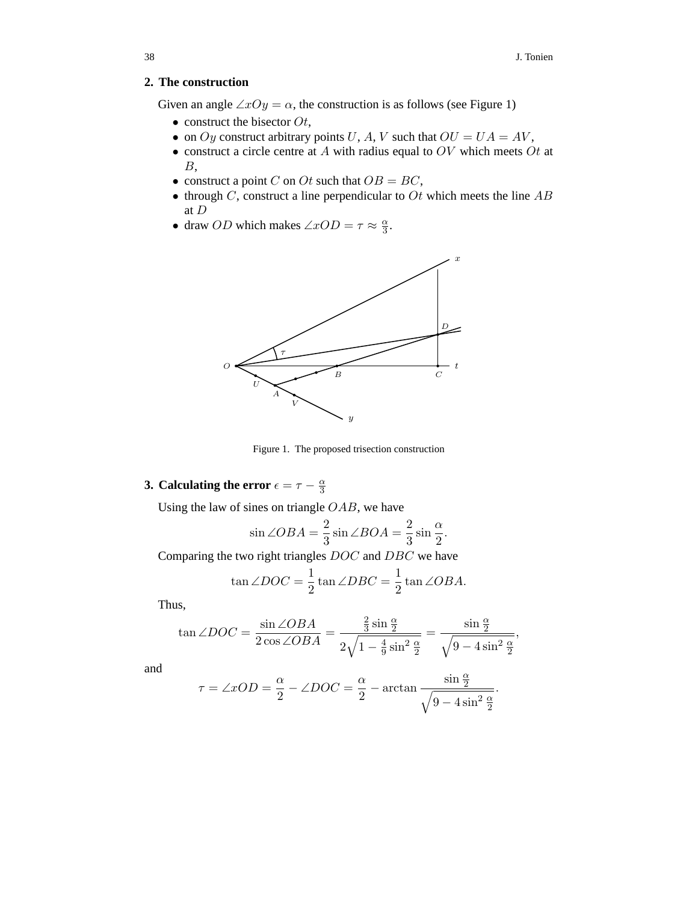### **2. The construction**

Given an angle  $\angle xOy = \alpha$ , the construction is as follows (see Figure 1)

- construct the bisector  $Ot$ ,
- on Oy construct arbitrary points U, A, V such that  $OU = UA = AV$ ,
- construct a circle centre at  $A$  with radius equal to  $OV$  which meets  $Ot$  at  $B$ .
- construct a point C on Ot such that  $OB = BC$ ,
- through  $C$ , construct a line perpendicular to  $Ot$  which meets the line  $AB$ at D
- draw *OD* which makes  $\angle xOD = \tau \approx \frac{\alpha}{3}$ .



Figure 1. The proposed trisection construction

# **3. Calculating the error**  $\epsilon = \tau - \frac{\alpha}{3}$

Using the law of sines on triangle  $OAB$ , we have

$$
\sin \angle OBA = \frac{2}{3} \sin \angle BOA = \frac{2}{3} \sin \frac{\alpha}{2}.
$$

Comparing the two right triangles DOC and DBC we have

$$
\tan \angle DOC = \frac{1}{2} \tan \angle DBC = \frac{1}{2} \tan \angle OBA.
$$

Thus,

$$
\tan \angle DOC = \frac{\sin \angle OBA}{2\cos \angle OBA} = \frac{\frac{2}{3}\sin\frac{\alpha}{2}}{2\sqrt{1-\frac{4}{9}\sin^2\frac{\alpha}{2}}} = \frac{\sin\frac{\alpha}{2}}{\sqrt{9-4\sin^2\frac{\alpha}{2}}},
$$

and

$$
\tau = \angle xOD = \frac{\alpha}{2} - \angle DOC = \frac{\alpha}{2} - \arctan \frac{\sin \frac{\alpha}{2}}{\sqrt{9 - 4\sin^2 \frac{\alpha}{2}}}.
$$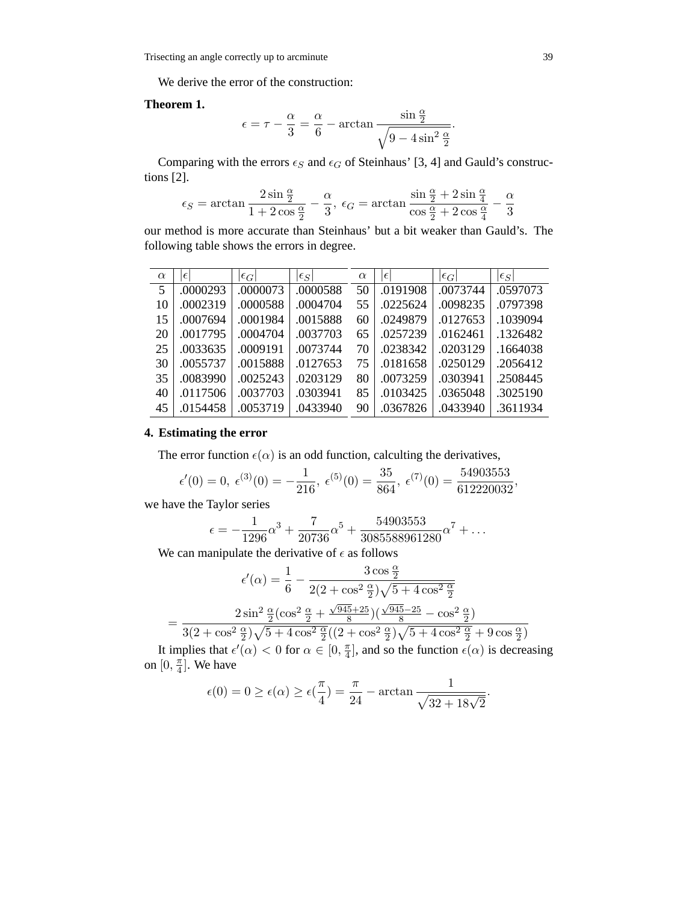We derive the error of the construction:

#### **Theorem 1.**

$$
\epsilon = \tau - \frac{\alpha}{3} = \frac{\alpha}{6} - \arctan \frac{\sin \frac{\alpha}{2}}{\sqrt{9 - 4\sin^2 \frac{\alpha}{2}}}.
$$

Comparing with the errors  $\epsilon_S$  and  $\epsilon_G$  of Steinhaus' [3, 4] and Gauld's constructions [2].

$$
\epsilon_S=\arctan\frac{2\sin \frac{\alpha}{2}}{1+2\cos \frac{\alpha}{2}}-\frac{\alpha}{3},\ \epsilon_G=\arctan\frac{\sin \frac{\alpha}{2}+2\sin \frac{\alpha}{4}}{\cos \frac{\alpha}{2}+2\cos \frac{\alpha}{4}}-\frac{\alpha}{3}
$$

our method is more accurate than Steinhaus' but a bit weaker than Gauld's. The following table shows the errors in degree.

| $\alpha$ | $\epsilon$ | $ \epsilon_G $ | $ \epsilon_S $ | $\alpha$ | $\epsilon$ | $ \epsilon_G $ | $ \epsilon_S $ |
|----------|------------|----------------|----------------|----------|------------|----------------|----------------|
| 5        | .0000293   | .0000073       | .0000588       | 50       | .0191908   | .0073744       | .0597073       |
| 10       | .0002319   | .0000588       | .0004704       | 55       | .0225624   | .0098235       | .0797398       |
| 15       | .0007694   | .0001984       | .0015888       | 60       | .0249879   | .0127653       | .1039094       |
| 20       | .0017795   | .0004704       | .0037703       | 65       | .0257239   | .0162461       | .1326482       |
| 25       | .0033635   | .0009191       | .0073744       | 70       | .0238342   | .0203129       | .1664038       |
| 30       | .0055737   | .0015888       | .0127653       | 75       | .0181658   | .0250129       | .2056412       |
| 35       | .0083990   | .0025243       | .0203129       | 80       | .0073259   | .0303941       | .2508445       |
| 40       | .0117506   | .0037703       | .0303941       | 85       | .0103425   | .0365048       | .3025190       |
| 45       | .0154458   | .0053719       | .0433940       | 90       | .0367826   | .0433940       | .3611934       |

### **4. Estimating the error**

The error function  $\epsilon(\alpha)$  is an odd function, calculting the derivatives,

$$
\epsilon'(0) = 0
$$
,  $\epsilon^{(3)}(0) = -\frac{1}{216}$ ,  $\epsilon^{(5)}(0) = \frac{35}{864}$ ,  $\epsilon^{(7)}(0) = \frac{54903553}{612220032}$ ,

we have the Taylor series

$$
\epsilon = -\frac{1}{1296}\alpha^3 + \frac{7}{20736}\alpha^5 + \frac{54903553}{3085588961280}\alpha^7 + \dots
$$

We can manipulate the derivative of  $\epsilon$  as follows

$$
\epsilon'(\alpha) = \frac{1}{6} - \frac{3\cos\frac{\alpha}{2}}{2(2 + \cos^2\frac{\alpha}{2})\sqrt{5 + 4\cos^2\frac{\alpha}{2}}}
$$

$$
= \frac{2\sin^2\frac{\alpha}{2}(\cos^2\frac{\alpha}{2} + \frac{\sqrt{945 + 25}}{8})(\frac{\sqrt{945 - 25}}{8} - \cos^2\frac{\alpha}{2})}{3(2 + \cos^2\frac{\alpha}{2})\sqrt{5 + 4\cos^2\frac{\alpha}{2}}((2 + \cos^2\frac{\alpha}{2})\sqrt{5 + 4\cos^2\frac{\alpha}{2}} + 9\cos\frac{\alpha}{2})}
$$

It implies that  $\epsilon'(\alpha) < 0$  for  $\alpha \in [0, \frac{\pi}{4}]$ , and so the function  $\epsilon(\alpha)$  is decreasing on  $[0, \frac{\pi}{4}]$ . We have

$$
\epsilon(0) = 0 \ge \epsilon(\alpha) \ge \epsilon(\frac{\pi}{4}) = \frac{\pi}{24} - \arctan \frac{1}{\sqrt{32 + 18\sqrt{2}}}.
$$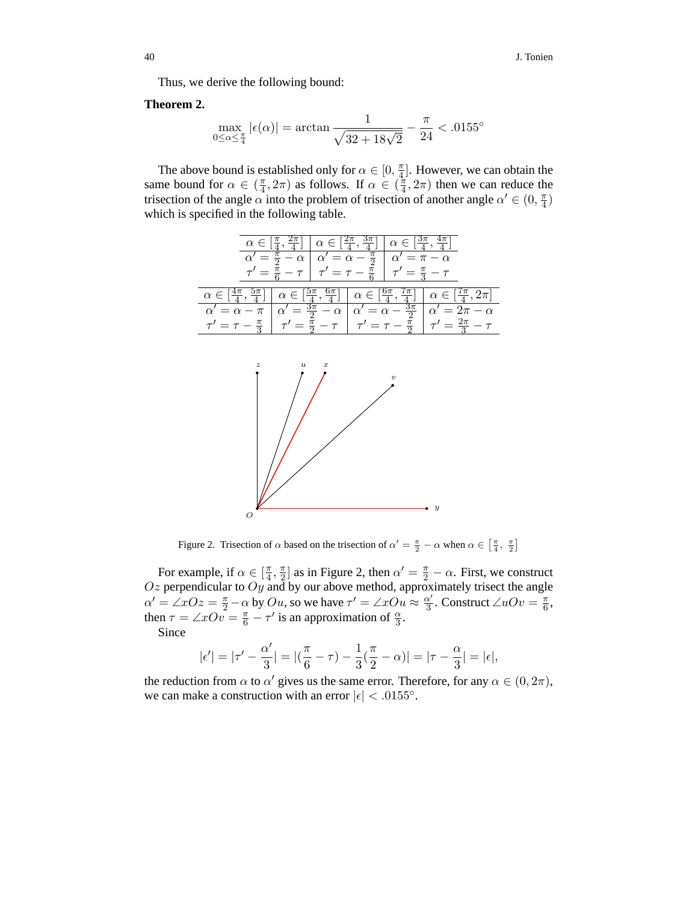Thus, we derive the following bound:

#### **Theorem 2.**

$$
\max_{0\leq\alpha\leq\frac{\pi}{4}}|\epsilon(\alpha)|=\arctan\frac{1}{\sqrt{32+18\sqrt{2}}}-\frac{\pi}{24}<.0155^\circ
$$

The above bound is established only for  $\alpha \in [0, \frac{\pi}{4}]$ . However, we can obtain the same bound for  $\alpha \in (\frac{\pi}{4}, 2\pi)$  as follows. If  $\alpha \in (\frac{\pi}{4}, 2\pi)$  then we can reduce the trisection of the angle  $\alpha$  into the problem of trisection of another angle  $\alpha' \in (0, \frac{\pi}{4})$ which is specified in the following table.

| $\alpha \in \left[\frac{\pi}{4}, \frac{2\pi}{4}\right] \mid \alpha \in \left[\frac{2\pi}{4}, \frac{3\pi}{4}\right] \mid \alpha \in \left[\frac{3\pi}{4}, \frac{4\pi}{4}\right]$ |                                                                                                                                                                                                                                |
|---------------------------------------------------------------------------------------------------------------------------------------------------------------------------------|--------------------------------------------------------------------------------------------------------------------------------------------------------------------------------------------------------------------------------|
| $\alpha' = \frac{\pi}{2} - \alpha \mid \alpha' = \alpha - \frac{\pi}{2} \mid \alpha' = \pi - \alpha$                                                                            |                                                                                                                                                                                                                                |
| $\tau' = \frac{\pi}{6} - \tau$ $\tau' = \tau - \frac{\pi}{6}$ $\tau' = \frac{\pi}{3} - \tau$                                                                                    |                                                                                                                                                                                                                                |
|                                                                                                                                                                                 | $\alpha \in \left[\frac{4\pi}{4},\frac{5\pi}{4}\right] \mid \alpha \in \left[\frac{5\pi}{4},\frac{6\pi}{4}\right] \mid \alpha \in \left[\frac{6\pi}{4},\frac{7\pi}{4}\right] \mid \alpha \in \left[\frac{7\pi}{4},2\pi\right]$ |
|                                                                                                                                                                                 | $\alpha' = \alpha - \pi \left  \alpha' = \frac{3\pi}{2} - \alpha \right  \alpha' = \alpha - \frac{3\pi}{2} \left  \alpha' = 2\pi - \alpha \right $                                                                             |
|                                                                                                                                                                                 | $\tau' = \tau - \frac{\pi}{3}$ $\tau' = \frac{\pi}{2} - \tau$ $\tau' = \tau - \frac{\pi}{2}$ $\tau' = \frac{2\pi}{3} - \tau$                                                                                                   |



Figure 2. Trisection of  $\alpha$  based on the trisection of  $\alpha' = \frac{\pi}{2} - \alpha$  when  $\alpha \in \left[\frac{\pi}{4}, \frac{\pi}{2}\right]$ 

For example, if  $\alpha \in [\frac{\pi}{4}, \frac{\pi}{2}]$  as in Figure 2, then  $\alpha' = \frac{\pi}{2} - \alpha$ . First, we construct  $Oz$  perpendicular to  $Oy$  and by our above method, approximately trisect the angle  $\alpha' = \angle xOz = \frac{\pi}{2} - \alpha$  by  $Ou$ , so we have  $\tau' = \angle xOu \approx \frac{\alpha'}{3}$ . Construct  $\angle uOv = \frac{\pi}{6}$ , then  $\tau = \angle xOv = \frac{\pi}{6} - \tau'$  is an approximation of  $\frac{\alpha}{3}$ .

Since

$$
|\epsilon'| = |\tau' - \frac{\alpha'}{3}| = |(\frac{\pi}{6} - \tau) - \frac{1}{3}(\frac{\pi}{2} - \alpha)| = |\tau - \frac{\alpha}{3}| = |\epsilon|,
$$

the reduction from  $\alpha$  to  $\alpha'$  gives us the same error. Therefore, for any  $\alpha \in (0, 2\pi)$ , we can make a construction with an error  $|\epsilon| < .0155^{\circ}$ .